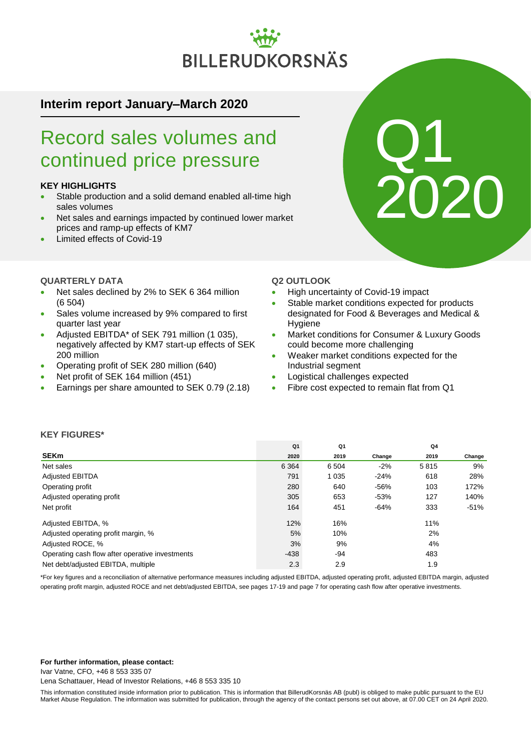# BILLERUDKORSNÄS

### **Interim report January–March 2020**

### Record sales volumes and continued price pressure

### **KEY HIGHLIGHTS**

- Stable production and a solid demand enabled all-time high sales volumes
- Net sales and earnings impacted by continued lower market prices and ramp-up effects of KM7
- Limited effects of Covid-19

### **QUARTERLY DATA**

- Net sales declined by 2% to SEK 6 364 million (6 504)
- Sales volume increased by 9% compared to first quarter last year
- Adjusted EBITDA\* of SEK 791 million (1 035), negatively affected by KM7 start-up effects of SEK 200 million
- Operating profit of SEK 280 million (640)
- Net profit of SEK 164 million (451)
- Earnings per share amounted to SEK 0.79 (2.18)

### **Q2 OUTLOOK**

- High uncertainty of Covid-19 impact
- Stable market conditions expected for products designated for Food & Beverages and Medical & Hygiene
- Market conditions for Consumer & Luxury Goods could become more challenging
- Weaker market conditions expected for the Industrial segment
- Logistical challenges expected
- Fibre cost expected to remain flat from Q1

### **KEY FIGURES\***

|                                                 | Q <sub>1</sub> | Q1      |        | Q4   |        |
|-------------------------------------------------|----------------|---------|--------|------|--------|
| <b>SEKm</b>                                     | 2020           | 2019    | Change | 2019 | Change |
| Net sales                                       | 6 3 6 4        | 6 5 0 4 | $-2%$  | 5815 | 9%     |
| <b>Adjusted EBITDA</b>                          | 791            | 1 0 3 5 | $-24%$ | 618  | 28%    |
| Operating profit                                | 280            | 640     | $-56%$ | 103  | 172%   |
| Adjusted operating profit                       | 305            | 653     | $-53%$ | 127  | 140%   |
| Net profit                                      | 164            | 451     | $-64%$ | 333  | $-51%$ |
| Adjusted EBITDA, %                              | 12%            | 16%     |        | 11%  |        |
| Adjusted operating profit margin, %             | 5%             | 10%     |        | 2%   |        |
| Adjusted ROCE, %                                | 3%             | 9%      |        | 4%   |        |
| Operating cash flow after operative investments | $-438$         | $-94$   |        | 483  |        |
| Net debt/adjusted EBITDA, multiple              | 2.3            | 2.9     |        | 1.9  |        |

\*For key figures and a reconciliation of alternative performance measures including adjusted EBITDA, adjusted operating profit, adjusted EBITDA margin, adjusted operating profit margin, adjusted ROCE and net debt/adjusted EBITDA, see pages 17-19 and page 7 for operating cash flow after operative investments.

### **For further information, please contact:**

Ivar Vatne, CFO, +46 8 553 335 07

Lena Schattauer, Head of Investor Relations, +46 8 553 335 10

This information constituted inside information prior to publication. This is information that BillerudKorsnäs AB (publ) is obliged to make public pursuant to the EU Market Abuse Regulation. The information was submitted for publication, through the agency of the contact persons set out above, at 07.00 CET on 24 April 2020.

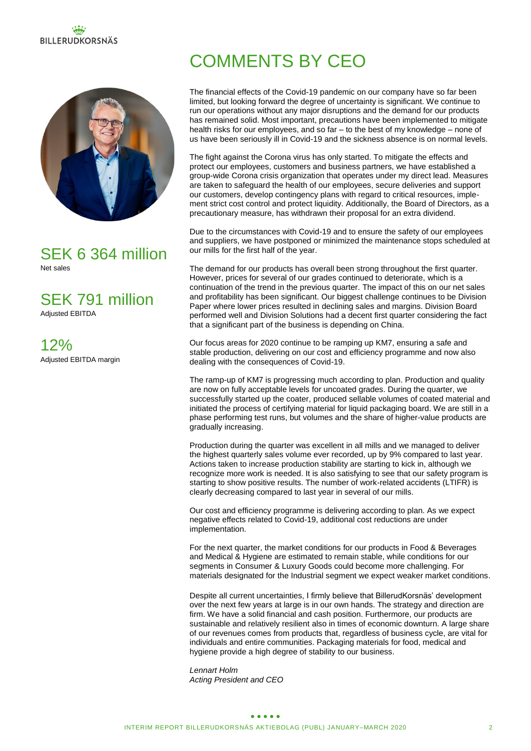# **BILLERUDKORSNÄS**



### SEK 6 364 million Net sales

SEK 791 million

Adjusted EBITDA

12% Adjusted EBITDA margin

# COMMENTS BY CEO

The financial effects of the Covid-19 pandemic on our company have so far been limited, but looking forward the degree of uncertainty is significant. We continue to run our operations without any major disruptions and the demand for our products has remained solid. Most important, precautions have been implemented to mitigate health risks for our employees, and so far – to the best of my knowledge – none of us have been seriously ill in Covid-19 and the sickness absence is on normal levels.

The fight against the Corona virus has only started. To mitigate the effects and protect our employees, customers and business partners, we have established a group-wide Corona crisis organization that operates under my direct lead. Measures are taken to safeguard the health of our employees, secure deliveries and support our customers, develop contingency plans with regard to critical resources, implement strict cost control and protect liquidity. Additionally, the Board of Directors, as a precautionary measure, has withdrawn their proposal for an extra dividend.

Due to the circumstances with Covid-19 and to ensure the safety of our employees and suppliers, we have postponed or minimized the maintenance stops scheduled at our mills for the first half of the year.

The demand for our products has overall been strong throughout the first quarter. However, prices for several of our grades continued to deteriorate, which is a continuation of the trend in the previous quarter. The impact of this on our net sales and profitability has been significant. Our biggest challenge continues to be Division Paper where lower prices resulted in declining sales and margins. Division Board performed well and Division Solutions had a decent first quarter considering the fact that a significant part of the business is depending on China.

Our focus areas for 2020 continue to be ramping up KM7, ensuring a safe and stable production, delivering on our cost and efficiency programme and now also dealing with the consequences of Covid-19.

The ramp-up of KM7 is progressing much according to plan. Production and quality are now on fully acceptable levels for uncoated grades. During the quarter, we successfully started up the coater, produced sellable volumes of coated material and initiated the process of certifying material for liquid packaging board. We are still in a phase performing test runs, but volumes and the share of higher-value products are gradually increasing.

Production during the quarter was excellent in all mills and we managed to deliver the highest quarterly sales volume ever recorded, up by 9% compared to last year. Actions taken to increase production stability are starting to kick in, although we recognize more work is needed. It is also satisfying to see that our safety program is starting to show positive results. The number of work-related accidents (LTIFR) is clearly decreasing compared to last year in several of our mills.

Our cost and efficiency programme is delivering according to plan. As we expect negative effects related to Covid-19, additional cost reductions are under implementation.

For the next quarter, the market conditions for our products in Food & Beverages and Medical & Hygiene are estimated to remain stable, while conditions for our segments in Consumer & Luxury Goods could become more challenging. For materials designated for the Industrial segment we expect weaker market conditions.

Despite all current uncertainties, I firmly believe that BillerudKorsnäs' development over the next few years at large is in our own hands. The strategy and direction are firm. We have a solid financial and cash position. Furthermore, our products are sustainable and relatively resilient also in times of economic downturn. A large share of our revenues comes from products that, regardless of business cycle, are vital for individuals and entire communities. Packaging materials for food, medical and hygiene provide a high degree of stability to our business.

*Lennart Holm Acting President and CEO*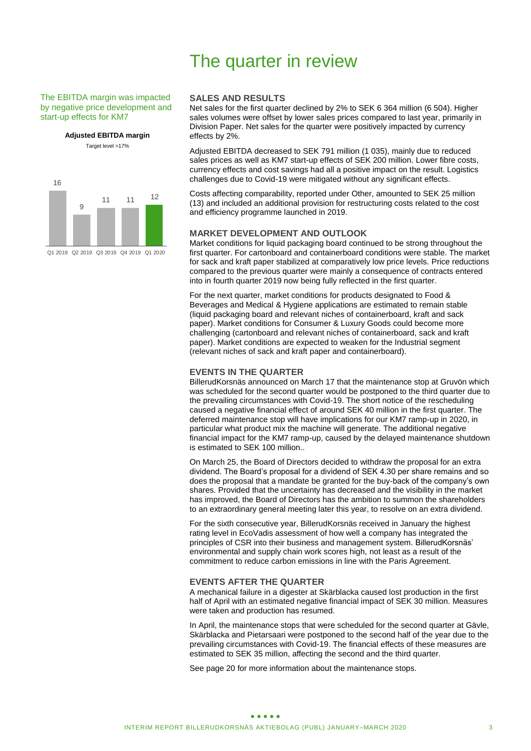### The EBITDA margin was impacted by negative price development and start-up effects for KM7

**Adjusted EBITDA margin** Target level >17%

16 9 <sup>11</sup> <sup>11</sup> <sup>12</sup>

Q1 2019 Q2 2019 Q3 2019 Q4 2019 Q1 2020

### The quarter in review

### **SALES AND RESULTS**

Net sales for the first quarter declined by 2% to SEK 6 364 million (6 504). Higher sales volumes were offset by lower sales prices compared to last year, primarily in Division Paper. Net sales for the quarter were positively impacted by currency effects by 2%.

Adjusted EBITDA decreased to SEK 791 million (1 035), mainly due to reduced sales prices as well as KM7 start-up effects of SEK 200 million. Lower fibre costs, currency effects and cost savings had all a positive impact on the result. Logistics challenges due to Covid-19 were mitigated without any significant effects.

Costs affecting comparability, reported under Other, amounted to SEK 25 million (13) and included an additional provision for restructuring costs related to the cost and efficiency programme launched in 2019.

### **MARKET DEVELOPMENT AND OUTLOOK**

Market conditions for liquid packaging board continued to be strong throughout the first quarter. For cartonboard and containerboard conditions were stable. The market for sack and kraft paper stabilized at comparatively low price levels. Price reductions compared to the previous quarter were mainly a consequence of contracts entered into in fourth quarter 2019 now being fully reflected in the first quarter.

For the next quarter, market conditions for products designated to Food & Beverages and Medical & Hygiene applications are estimated to remain stable (liquid packaging board and relevant niches of containerboard, kraft and sack paper). Market conditions for Consumer & Luxury Goods could become more challenging (cartonboard and relevant niches of containerboard, sack and kraft paper). Market conditions are expected to weaken for the Industrial segment (relevant niches of sack and kraft paper and containerboard).

### **EVENTS IN THE QUARTER**

BillerudKorsnäs announced on March 17 that the maintenance stop at Gruvön which was scheduled for the second quarter would be postponed to the third quarter due to the prevailing circumstances with Covid-19. The short notice of the rescheduling caused a negative financial effect of around SEK 40 million in the first quarter. The deferred maintenance stop will have implications for our KM7 ramp-up in 2020, in particular what product mix the machine will generate. The additional negative financial impact for the KM7 ramp-up, caused by the delayed maintenance shutdown is estimated to SEK 100 million..

On March 25, the Board of Directors decided to withdraw the proposal for an extra dividend. The Board's proposal for a dividend of SEK 4.30 per share remains and so does the proposal that a mandate be granted for the buy-back of the company's own shares. Provided that the uncertainty has decreased and the visibility in the market has improved, the Board of Directors has the ambition to summon the shareholders to an extraordinary general meeting later this year, to resolve on an extra dividend.

For the sixth consecutive year, BillerudKorsnäs received in January the highest rating level in EcoVadis assessment of how well a company has integrated the principles of CSR into their business and management system. BillerudKorsnäs' environmental and supply chain work scores high, not least as a result of the commitment to reduce carbon emissions in line with the Paris Agreement.

### **EVENTS AFTER THE QUARTER**

A mechanical failure in a digester at Skärblacka caused lost production in the first half of April with an estimated negative financial impact of SEK 30 million. Measures were taken and production has resumed.

In April, the maintenance stops that were scheduled for the second quarter at Gävle, Skärblacka and Pietarsaari were postponed to the second half of the year due to the prevailing circumstances with Covid-19. The financial effects of these measures are estimated to SEK 35 million, affecting the second and the third quarter.

See page 20 for more information about the maintenance stops.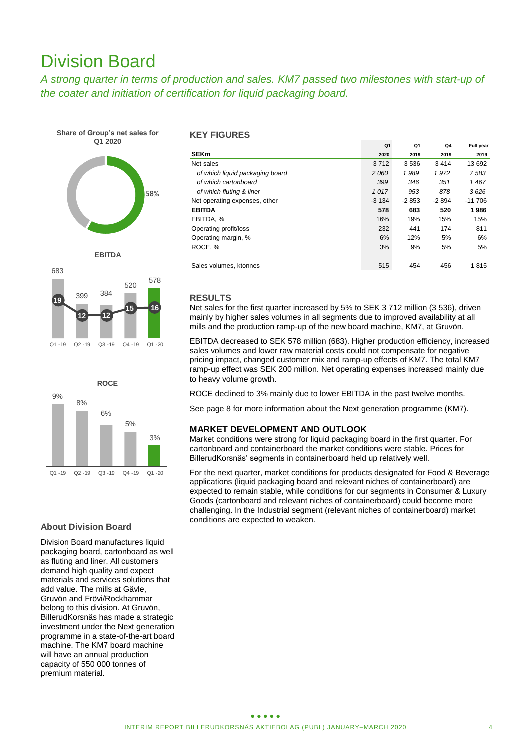### Division Board

*A strong quarter in terms of production and sales. KM7 passed two milestones with start-up of the coater and initiation of certification for liquid packaging board.* 









### **About Division Board**

Division Board manufactures liquid packaging board, cartonboard as well as fluting and liner. All customers demand high quality and expect materials and services solutions that add value. The mills at Gävle, Gruvön and Frövi/Rockhammar belong to this division. At Gruvön, BillerudKorsnäs has made a strategic investment under the Next generation programme in a state-of-the-art board machine. The KM7 board machine will have an annual production capacity of 550 000 tonnes of premium material.

### **KEY FIGURES**

|                                 | Q <sub>1</sub> | Q <sub>1</sub> | Q4      | Full year |
|---------------------------------|----------------|----------------|---------|-----------|
| <b>SEKm</b>                     | 2020           | 2019           | 2019    | 2019      |
| Net sales                       | 3712           | 3536           | 3414    | 13 692    |
| of which liquid packaging board | 2060           | 1989           | 1972    | 7583      |
| of which cartonboard            | 399            | 346            | 351     | 1467      |
| of which fluting & liner        | 1017           | 953            | 878     | 3626      |
| Net operating expenses, other   | $-3134$        | $-2853$        | $-2894$ | $-11706$  |
| <b>EBITDA</b>                   | 578            | 683            | 520     | 1986      |
| EBITDA, %                       | 16%            | 19%            | 15%     | 15%       |
| Operating profit/loss           | 232            | 441            | 174     | 811       |
| Operating margin, %             | 6%             | 12%            | 5%      | 6%        |
| ROCE, %                         | 3%             | 9%             | 5%      | 5%        |
|                                 |                |                |         |           |
| Sales volumes, ktonnes          | 515            | 454            | 456     | 1815      |

### **RESULTS**

Net sales for the first quarter increased by 5% to SEK 3 712 million (3 536), driven mainly by higher sales volumes in all segments due to improved availability at all mills and the production ramp-up of the new board machine, KM7, at Gruvön.

EBITDA decreased to SEK 578 million (683). Higher production efficiency, increased sales volumes and lower raw material costs could not compensate for negative pricing impact, changed customer mix and ramp-up effects of KM7. The total KM7 ramp-up effect was SEK 200 million. Net operating expenses increased mainly due to heavy volume growth.

ROCE declined to 3% mainly due to lower EBITDA in the past twelve months.

See page 8 for more information about the Next generation programme (KM7).

### **MARKET DEVELOPMENT AND OUTLOOK**

Market conditions were strong for liquid packaging board in the first quarter. For cartonboard and containerboard the market conditions were stable. Prices for BillerudKorsnäs' segments in containerboard held up relatively well.

For the next quarter, market conditions for products designated for Food & Beverage applications (liquid packaging board and relevant niches of containerboard) are expected to remain stable, while conditions for our segments in Consumer & Luxury Goods (cartonboard and relevant niches of containerboard) could become more challenging. In the Industrial segment (relevant niches of containerboard) market conditions are expected to weaken.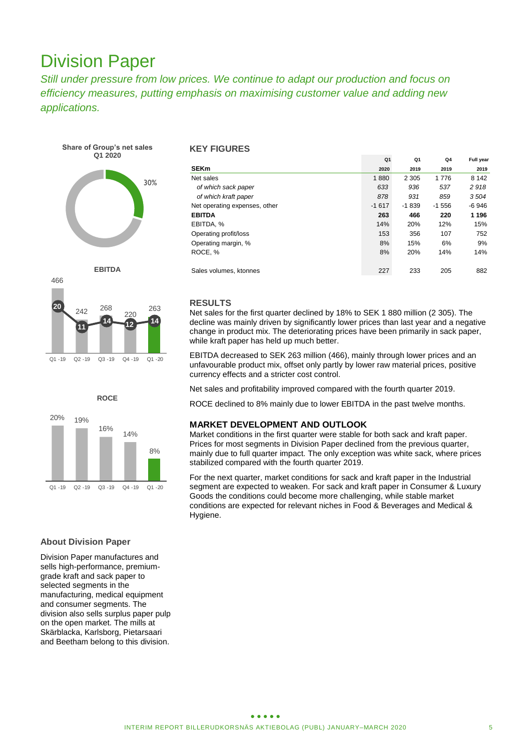### Division Paper

*Still under pressure from low prices. We continue to adapt our production and focus on efficiency measures, putting emphasis on maximising customer value and adding new applications.*

**Share of Group's net sales Q1 2020**









### **About Division Paper**

Division Paper manufactures and sells high-performance, premiumgrade kraft and sack paper to selected segments in the manufacturing, medical equipment and consumer segments. The division also sells surplus paper pulp on the open market. The mills at Skärblacka, Karlsborg, Pietarsaari and Beetham belong to this division.

### **KEY FIGURES**

|                               | Q <sub>1</sub> | Q <sub>1</sub> | Q <sub>4</sub> | Full year |
|-------------------------------|----------------|----------------|----------------|-----------|
| <b>SEKm</b>                   | 2020           | 2019           | 2019           | 2019      |
| Net sales                     | 1880           | 2 3 0 5        | 1776           | 8 1 4 2   |
| of which sack paper           | 633            | 936            | 537            | 2918      |
| of which kraft paper          | 878            | 931            | 859            | 3504      |
| Net operating expenses, other | $-1617$        | $-1839$        | $-1556$        | $-6946$   |
| <b>EBITDA</b>                 | 263            | 466            | 220            | 1 1 9 6   |
| EBITDA, %                     | 14%            | 20%            | 12%            | 15%       |
| Operating profit/loss         | 153            | 356            | 107            | 752       |
| Operating margin, %           | 8%             | 15%            | 6%             | 9%        |
| ROCE, %                       | 8%             | 20%            | 14%            | 14%       |
| Sales volumes, ktonnes        | 227            | 233            | 205            | 882       |

### **RESULTS**

Net sales for the first quarter declined by 18% to SEK 1 880 million (2 305). The decline was mainly driven by significantly lower prices than last year and a negative change in product mix. The deteriorating prices have been primarily in sack paper, while kraft paper has held up much better.

EBITDA decreased to SEK 263 million (466), mainly through lower prices and an unfavourable product mix, offset only partly by lower raw material prices, positive currency effects and a stricter cost control.

Net sales and profitability improved compared with the fourth quarter 2019.

ROCE declined to 8% mainly due to lower EBITDA in the past twelve months.

### **MARKET DEVELOPMENT AND OUTLOOK**

Market conditions in the first quarter were stable for both sack and kraft paper. Prices for most segments in Division Paper declined from the previous quarter, mainly due to full quarter impact. The only exception was white sack, where prices stabilized compared with the fourth quarter 2019.

For the next quarter, market conditions for sack and kraft paper in the Industrial segment are expected to weaken. For sack and kraft paper in Consumer & Luxury Goods the conditions could become more challenging, while stable market conditions are expected for relevant niches in Food & Beverages and Medical & Hygiene.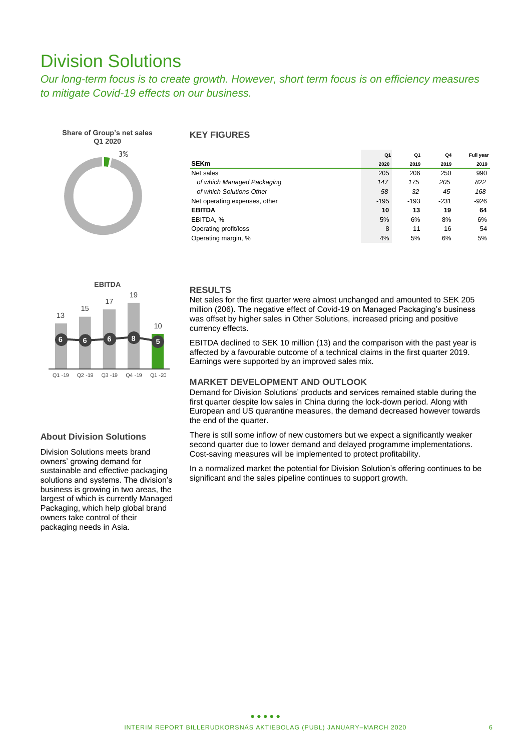### Division Solutions

*Our long-term focus is to create growth. However, short term focus is on efficiency measures to mitigate Covid-19 effects on our business.* 



### **KEY FIGURES**

|                               | Q1     | Q1     | Q4     | Full year |
|-------------------------------|--------|--------|--------|-----------|
| <b>SEKm</b>                   | 2020   | 2019   | 2019   | 2019      |
| Net sales                     | 205    | 206    | 250    | 990       |
| of which Managed Packaging    | 147    | 175    | 205    | 822       |
| of which Solutions Other      | 58     | 32     | 45     | 168       |
| Net operating expenses, other | $-195$ | $-193$ | $-231$ | $-926$    |
| <b>EBITDA</b>                 | 10     | 13     | 19     | 64        |
| EBITDA, %                     | 5%     | 6%     | 8%     | 6%        |
| Operating profit/loss         | 8      | 11     | 16     | 54        |
| Operating margin, %           | 4%     | 5%     | 6%     | 5%        |



### **About Division Solutions**

Division Solutions meets brand owners' growing demand for sustainable and effective packaging solutions and systems. The division's business is growing in two areas, the largest of which is currently Managed Packaging, which help global brand owners take control of their packaging needs in Asia.

### **RESULTS**

Net sales for the first quarter were almost unchanged and amounted to SEK 205 million (206). The negative effect of Covid-19 on Managed Packaging's business was offset by higher sales in Other Solutions, increased pricing and positive currency effects.

EBITDA declined to SEK 10 million (13) and the comparison with the past year is affected by a favourable outcome of a technical claims in the first quarter 2019. Earnings were supported by an improved sales mix.

### **MARKET DEVELOPMENT AND OUTLOOK**

Demand for Division Solutions' products and services remained stable during the first quarter despite low sales in China during the lock-down period. Along with European and US quarantine measures, the demand decreased however towards the end of the quarter.

There is still some inflow of new customers but we expect a significantly weaker second quarter due to lower demand and delayed programme implementations. Cost-saving measures will be implemented to protect profitability.

In a normalized market the potential for Division Solution's offering continues to be significant and the sales pipeline continues to support growth.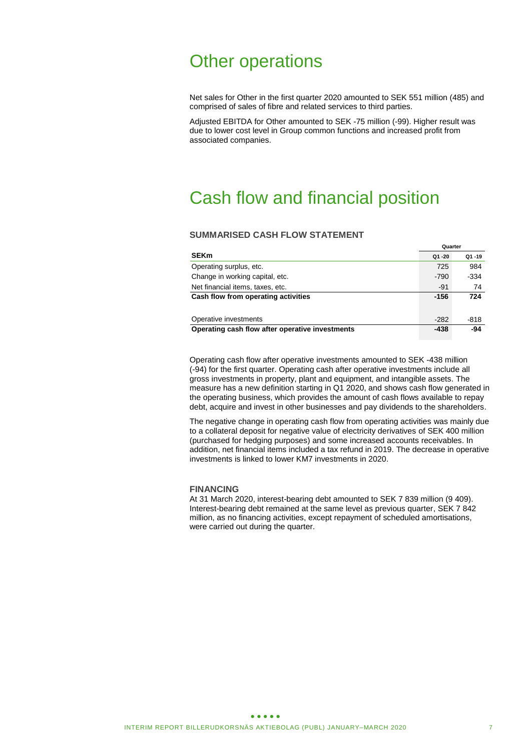### Other operations

Net sales for Other in the first quarter 2020 amounted to SEK 551 million (485) and comprised of sales of fibre and related services to third parties.

Adjusted EBITDA for Other amounted to SEK -75 million (-99). Higher result was due to lower cost level in Group common functions and increased profit from associated companies.

### Cash flow and financial position

### **SUMMARISED CASH FLOW STATEMENT**

|                                                 | Quarter |       |
|-------------------------------------------------|---------|-------|
| <b>SEKm</b>                                     | Q1-20   | Q1-19 |
| Operating surplus, etc.                         | 725     | 984   |
| Change in working capital, etc.                 | $-790$  | -334  |
| Net financial items, taxes, etc.                | $-91$   | 74    |
| Cash flow from operating activities             | $-156$  | 724   |
|                                                 |         |       |
| Operative investments                           | $-282$  | -818  |
| Operating cash flow after operative investments | -438    | -94   |

Operating cash flow after operative investments amounted to SEK -438 million (-94) for the first quarter. Operating cash after operative investments include all gross investments in property, plant and equipment, and intangible assets. The measure has a new definition starting in Q1 2020, and shows cash flow generated in the operating business, which provides the amount of cash flows available to repay debt, acquire and invest in other businesses and pay dividends to the shareholders.

The negative change in operating cash flow from operating activities was mainly due to a collateral deposit for negative value of electricity derivatives of SEK 400 million (purchased for hedging purposes) and some increased accounts receivables. In addition, net financial items included a tax refund in 2019. The decrease in operative investments is linked to lower KM7 investments in 2020.

#### **FINANCING**

At 31 March 2020, interest-bearing debt amounted to SEK 7 839 million (9 409). Interest-bearing debt remained at the same level as previous quarter, SEK 7 842 million, as no financing activities, except repayment of scheduled amortisations, were carried out during the quarter.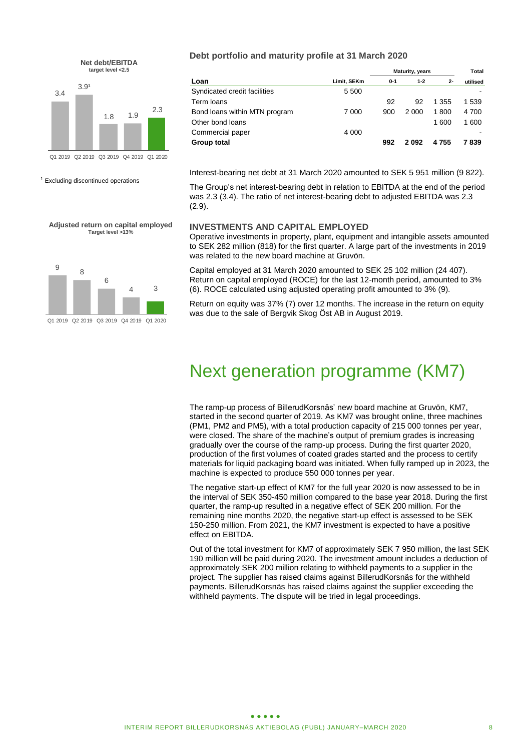



<sup>1</sup> Excluding discontinued operations

**Adjusted return on capital employed Target level >13%**



#### **Debt portfolio and maturity profile at 31 March 2020**

|                               |             | Maturity, years |         |         |          |
|-------------------------------|-------------|-----------------|---------|---------|----------|
| Loan                          | Limit, SEKm | $0 - 1$         | $1 - 2$ | $2 -$   | utilised |
| Syndicated credit facilities  | 5 5 0 0     |                 |         |         |          |
| Term Ioans                    |             | 92              | 92      | 1 355   | 1 539    |
| Bond loans within MTN program | 7 000       | 900             | 2 0 0 0 | 1800    | 4 700    |
| Other bond loans              |             |                 |         | 1600    | 1600     |
| Commercial paper              | 4 0 0 0     |                 |         |         |          |
| Group total                   |             | 992             | 2092    | 4 7 5 5 | 7839     |

Interest-bearing net debt at 31 March 2020 amounted to SEK 5 951 million (9 822).

The Group's net interest-bearing debt in relation to EBITDA at the end of the period was 2.3 (3.4). The ratio of net interest-bearing debt to adjusted EBITDA was 2.3 (2.9).

### **INVESTMENTS AND CAPITAL EMPLOYED**

Operative investments in property, plant, equipment and intangible assets amounted to SEK 282 million (818) for the first quarter. A large part of the investments in 2019 was related to the new board machine at Gruvön.

Capital employed at 31 March 2020 amounted to SEK 25 102 million (24 407). Return on capital employed (ROCE) for the last 12-month period, amounted to 3% (6). ROCE calculated using adjusted operating profit amounted to 3% (9).

Return on equity was 37% (7) over 12 months. The increase in the return on equity was due to the sale of Bergvik Skog Öst AB in August 2019.

### Next generation programme (KM7)

The ramp-up process of BillerudKorsnäs' new board machine at Gruvön, KM7, started in the second quarter of 2019. As KM7 was brought online, three machines (PM1, PM2 and PM5), with a total production capacity of 215 000 tonnes per year, were closed. The share of the machine's output of premium grades is increasing gradually over the course of the ramp-up process. During the first quarter 2020, production of the first volumes of coated grades started and the process to certify materials for liquid packaging board was initiated. When fully ramped up in 2023, the machine is expected to produce 550 000 tonnes per year.

The negative start-up effect of KM7 for the full year 2020 is now assessed to be in the interval of SEK 350-450 million compared to the base year 2018. During the first quarter, the ramp-up resulted in a negative effect of SEK 200 million. For the remaining nine months 2020, the negative start-up effect is assessed to be SEK 150-250 million. From 2021, the KM7 investment is expected to have a positive effect on EBITDA.

Out of the total investment for KM7 of approximately SEK 7 950 million, the last SEK 190 million will be paid during 2020. The investment amount includes a deduction of approximately SEK 200 million relating to withheld payments to a supplier in the project. The supplier has raised claims against BillerudKorsnäs for the withheld payments. BillerudKorsnäs has raised claims against the supplier exceeding the withheld payments. The dispute will be tried in legal proceedings.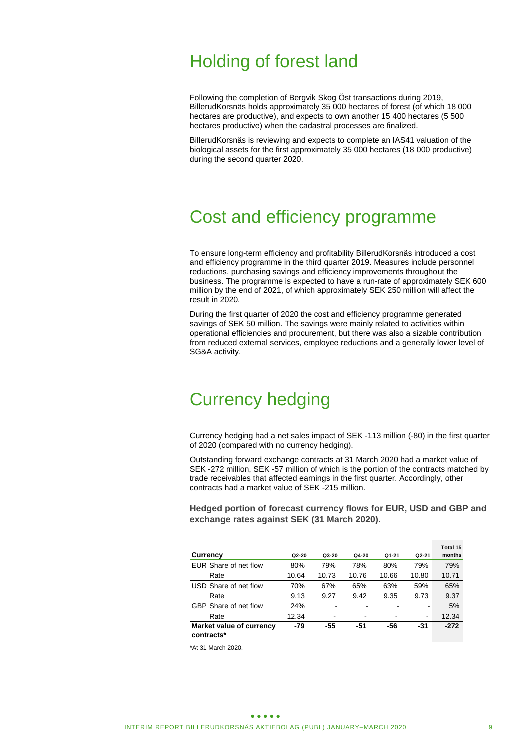### Holding of forest land

Following the completion of Bergvik Skog Öst transactions during 2019, BillerudKorsnäs holds approximately 35 000 hectares of forest (of which 18 000 hectares are productive), and expects to own another 15 400 hectares (5 500 hectares productive) when the cadastral processes are finalized.

BillerudKorsnäs is reviewing and expects to complete an IAS41 valuation of the biological assets for the first approximately 35 000 hectares (18 000 productive) during the second quarter 2020.

### Cost and efficiency programme

To ensure long-term efficiency and profitability BillerudKorsnäs introduced a cost and efficiency programme in the third quarter 2019. Measures include personnel reductions, purchasing savings and efficiency improvements throughout the business. The programme is expected to have a run-rate of approximately SEK 600 million by the end of 2021, of which approximately SEK 250 million will affect the result in 2020.

During the first quarter of 2020 the cost and efficiency programme generated savings of SEK 50 million. The savings were mainly related to activities within operational efficiencies and procurement, but there was also a sizable contribution from reduced external services, employee reductions and a generally lower level of SG&A activity.

### Currency hedging

Currency hedging had a net sales impact of SEK -113 million (-80) in the first quarter of 2020 (compared with no currency hedging).

Outstanding forward exchange contracts at 31 March 2020 had a market value of SEK -272 million, SEK -57 million of which is the portion of the contracts matched by trade receivables that affected earnings in the first quarter. Accordingly, other contracts had a market value of SEK -215 million.

**Hedged portion of forecast currency flows for EUR, USD and GBP and exchange rates against SEK (31 March 2020).**

|                          |       |       |       |       |                          | Total 15 |
|--------------------------|-------|-------|-------|-------|--------------------------|----------|
| Currency                 | Q2-20 | Q3-20 | Q4-20 | Q1-21 | Q2-21                    | months   |
| EUR Share of net flow    | 80%   | 79%   | 78%   | 80%   | 79%                      | 79%      |
| Rate                     | 10.64 | 10.73 | 10.76 | 10.66 | 10.80                    | 10.71    |
| USD Share of net flow    | 70%   | 67%   | 65%   | 63%   | 59%                      | 65%      |
| Rate                     | 9.13  | 9.27  | 9.42  | 9.35  | 9.73                     | 9.37     |
| GBP Share of net flow    | 24%   |       |       |       |                          | 5%       |
| Rate                     | 12.34 | -     |       |       | $\overline{\phantom{a}}$ | 12.34    |
| Market value of currency | $-79$ | -55   | -51   | -56   | $-31$                    | $-272$   |
| contracts*               |       |       |       |       |                          |          |

\*At 31 March 2020.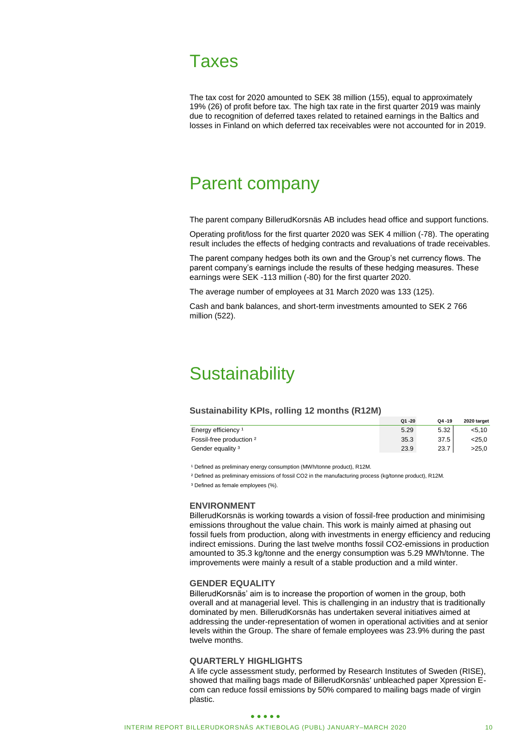

The tax cost for 2020 amounted to SEK 38 million (155), equal to approximately 19% (26) of profit before tax. The high tax rate in the first quarter 2019 was mainly due to recognition of deferred taxes related to retained earnings in the Baltics and losses in Finland on which deferred tax receivables were not accounted for in 2019.

### Parent company

The parent company BillerudKorsnäs AB includes head office and support functions.

Operating profit/loss for the first quarter 2020 was SEK 4 million (-78). The operating result includes the effects of hedging contracts and revaluations of trade receivables.

The parent company hedges both its own and the Group's net currency flows. The parent company's earnings include the results of these hedging measures. These earnings were SEK -113 million (-80) for the first quarter 2020.

The average number of employees at 31 March 2020 was 133 (125).

Cash and bank balances, and short-term investments amounted to SEK 2 766 million (522).

### **Sustainability**

#### **Sustainability KPIs, rolling 12 months (R12M)**

|                                | $Q1 - 20$ | $Q4 - 19$ | 2020 target |
|--------------------------------|-----------|-----------|-------------|
| Energy efficiency <sup>1</sup> | 5.29      | 5.32      | < 5.10      |
| Fossil-free production 2       | 35.3      | 37.5      | $<$ 25.0    |
| Gender equality <sup>3</sup>   | 23.9      | 23.7      | >25.0       |

<sup>1</sup> Defined as preliminary energy consumption (MWh/tonne product), R12M.

² Defined as preliminary emissions of fossil CO2 in the manufacturing process (kg/tonne product), R12M.

<sup>3</sup> Defined as female employees (%).

### **ENVIRONMENT**

BillerudKorsnäs is working towards a vision of fossil-free production and minimising emissions throughout the value chain. This work is mainly aimed at phasing out fossil fuels from production, along with investments in energy efficiency and reducing indirect emissions. During the last twelve months fossil CO2-emissions in production amounted to 35.3 kg/tonne and the energy consumption was 5.29 MWh/tonne. The improvements were mainly a result of a stable production and a mild winter.

### **GENDER EQUALITY**

BillerudKorsnäs' aim is to increase the proportion of women in the group, both overall and at managerial level. This is challenging in an industry that is traditionally dominated by men. BillerudKorsnäs has undertaken several initiatives aimed at addressing the under-representation of women in operational activities and at senior levels within the Group. The share of female employees was 23.9% during the past twelve months.

### **QUARTERLY HIGHLIGHTS**

A life cycle assessment study, performed by Research Institutes of Sweden (RISE), showed that mailing bags made of BillerudKorsnäs' unbleached paper Xpression Ecom can reduce fossil emissions by 50% compared to mailing bags made of virgin plastic.

#### $\bullet\bullet\bullet\bullet\bullet$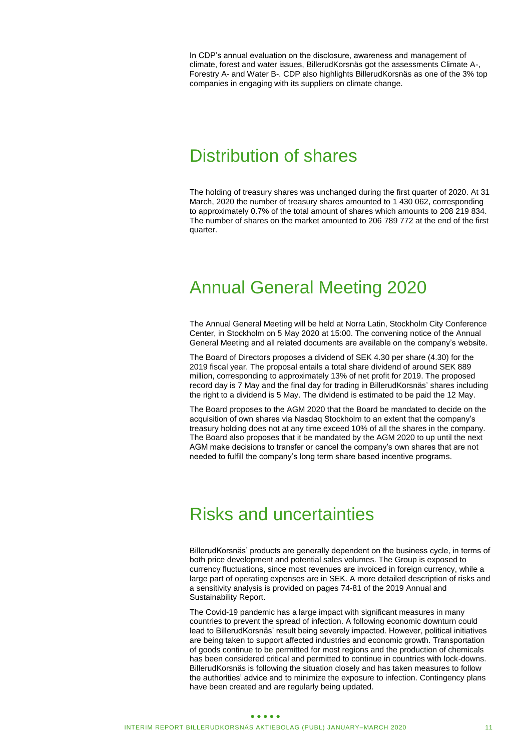In CDP's annual evaluation on the disclosure, awareness and management of climate, forest and water issues, BillerudKorsnäs got the assessments Climate A-, Forestry A- and Water B-. CDP also highlights BillerudKorsnäs as one of the 3% top companies in engaging with its suppliers on climate change.

### Distribution of shares

The holding of treasury shares was unchanged during the first quarter of 2020. At 31 March, 2020 the number of treasury shares amounted to 1 430 062, corresponding to approximately 0.7% of the total amount of shares which amounts to 208 219 834. The number of shares on the market amounted to 206 789 772 at the end of the first quarter.

### Annual General Meeting 2020

The Annual General Meeting will be held at Norra Latin, Stockholm City Conference Center, in Stockholm on 5 May 2020 at 15:00. The convening notice of the Annual General Meeting and all related documents are available on the company's website.

The Board of Directors proposes a dividend of SEK 4.30 per share (4.30) for the 2019 fiscal year. The proposal entails a total share dividend of around SEK 889 million, corresponding to approximately 13% of net profit for 2019. The proposed record day is 7 May and the final day for trading in BillerudKorsnäs' shares including the right to a dividend is 5 May. The dividend is estimated to be paid the 12 May.

The Board proposes to the AGM 2020 that the Board be mandated to decide on the acquisition of own shares via Nasdaq Stockholm to an extent that the company's treasury holding does not at any time exceed 10% of all the shares in the company. The Board also proposes that it be mandated by the AGM 2020 to up until the next AGM make decisions to transfer or cancel the company's own shares that are not needed to fulfill the company's long term share based incentive programs.

### Risks and uncertainties

BillerudKorsnäs' products are generally dependent on the business cycle, in terms of both price development and potential sales volumes. The Group is exposed to currency fluctuations, since most revenues are invoiced in foreign currency, while a large part of operating expenses are in SEK. A more detailed description of risks and a sensitivity analysis is provided on pages 74-81 of the 2019 Annual and Sustainability Report.

The Covid-19 pandemic has a large impact with significant measures in many countries to prevent the spread of infection. A following economic downturn could lead to BillerudKorsnäs' result being severely impacted. However, political initiatives are being taken to support affected industries and economic growth. Transportation of goods continue to be permitted for most regions and the production of chemicals has been considered critical and permitted to continue in countries with lock-downs. BillerudKorsnäs is following the situation closely and has taken measures to follow the authorities' advice and to minimize the exposure to infection. Contingency plans have been created and are regularly being updated.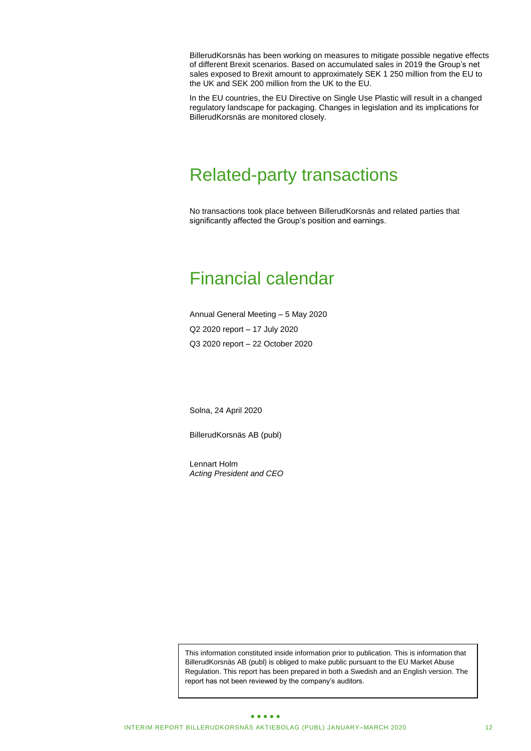BillerudKorsnäs has been working on measures to mitigate possible negative effects of different Brexit scenarios. Based on accumulated sales in 2019 the Group's net sales exposed to Brexit amount to approximately SEK 1 250 million from the EU to the UK and SEK 200 million from the UK to the EU.

In the EU countries, the EU Directive on Single Use Plastic will result in a changed regulatory landscape for packaging. Changes in legislation and its implications for BillerudKorsnäs are monitored closely.

### Related-party transactions

No transactions took place between BillerudKorsnäs and related parties that significantly affected the Group's position and earnings.

### Financial calendar

Annual General Meeting – 5 May 2020 Q2 2020 report – 17 July 2020 Q3 2020 report – 22 October 2020

Solna, 24 April 2020

BillerudKorsnäs AB (publ)

Lennart Holm *Acting President and CEO*

This information constituted inside information prior to publication. This is information that BillerudKorsnäs AB (publ) is obliged to make public pursuant to the EU Market Abuse Regulation. This report has been prepared in both a Swedish and an English version. The report has not been reviewed by the company's auditors.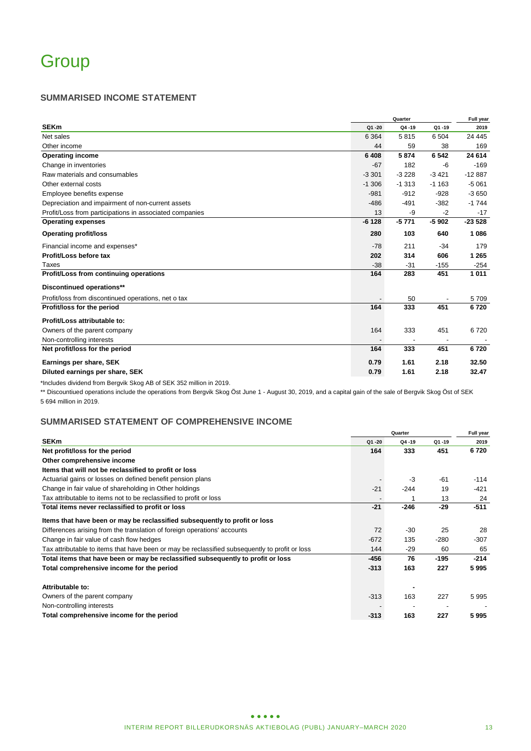### **SUMMARISED INCOME STATEMENT**

|                                                         | Quarter   |         |         | Full year |  |
|---------------------------------------------------------|-----------|---------|---------|-----------|--|
| <b>SEKm</b>                                             | $Q1 - 20$ | Q4-19   | Q1-19   | 2019      |  |
| Net sales                                               | 6 3 6 4   | 5815    | 6 504   | 24 4 4 5  |  |
| Other income                                            | 44        | 59      | 38      | 169       |  |
| <b>Operating income</b>                                 | 6 4 0 8   | 5874    | 6542    | 24 614    |  |
| Change in inventories                                   | $-67$     | 182     | -6      | $-169$    |  |
| Raw materials and consumables                           | $-3301$   | $-3228$ | $-3421$ | $-12887$  |  |
| Other external costs                                    | $-1.306$  | $-1313$ | $-1163$ | $-5061$   |  |
| Employee benefits expense                               | $-981$    | $-912$  | $-928$  | $-3650$   |  |
| Depreciation and impairment of non-current assets       | $-486$    | $-491$  | $-382$  | $-1744$   |  |
| Profit/Loss from participations in associated companies | 13        | -9      | $-2$    | $-17$     |  |
| <b>Operating expenses</b>                               | $-6128$   | $-5771$ | $-5902$ | $-23528$  |  |
| <b>Operating profit/loss</b>                            | 280       | 103     | 640     | 1 0 8 6   |  |
| Financial income and expenses*                          | $-78$     | 211     | $-34$   | 179       |  |
| Profit/Loss before tax                                  | 202       | 314     | 606     | 1 2 6 5   |  |
| Taxes                                                   | $-38$     | $-31$   | $-155$  | $-254$    |  |
| Profit/Loss from continuing operations                  | 164       | 283     | 451     | 1011      |  |
| Discontinued operations**                               |           |         |         |           |  |
| Profit/loss from discontinued operations, net o tax     |           | 50      |         | 5709      |  |
| Profit/loss for the period                              | 164       | 333     | 451     | 6720      |  |
| Profit/Loss attributable to:                            |           |         |         |           |  |
| Owners of the parent company                            | 164       | 333     | 451     | 6720      |  |
| Non-controlling interests                               |           |         |         |           |  |
| Net profit/loss for the period                          | 164       | 333     | 451     | 6720      |  |
| Earnings per share, SEK                                 | 0.79      | 1.61    | 2.18    | 32.50     |  |
| Diluted earnings per share, SEK                         | 0.79      | 1.61    | 2.18    | 32.47     |  |

\*Includes dividend from Bergvik Skog AB of SEK 352 million in 2019.

\*\* Discountiued operations include the operations from Bergvik Skog Öst June 1 - August 30, 2019, and a capital gain of the sale of Bergvik Skog Öst of SEK 5 694 million in 2019.

### **SUMMARISED STATEMENT OF COMPREHENSIVE INCOME**

|                                                                                                |           | Quarter   |           |        |  |
|------------------------------------------------------------------------------------------------|-----------|-----------|-----------|--------|--|
| <b>SEKm</b>                                                                                    | $Q1 - 20$ | $Q4 - 19$ | $Q1 - 19$ | 2019   |  |
| Net profit/loss for the period                                                                 | 164       | 333       | 451       | 6720   |  |
| Other comprehensive income                                                                     |           |           |           |        |  |
| Items that will not be reclassified to profit or loss                                          |           |           |           |        |  |
| Actuarial gains or losses on defined benefit pension plans                                     |           | -3        | $-61$     | $-114$ |  |
| Change in fair value of shareholding in Other holdings                                         | $-21$     | $-244$    | 19        | $-421$ |  |
| Tax attributable to items not to be reclassified to profit or loss                             |           |           | 13        | 24     |  |
| Total items never reclassified to profit or loss                                               | $-21$     | $-246$    | $-29$     | $-511$ |  |
| Items that have been or may be reclassified subsequently to profit or loss                     |           |           |           |        |  |
| Differences arising from the translation of foreign operations' accounts                       | 72        | $-30$     | 25        | 28     |  |
| Change in fair value of cash flow hedges                                                       | $-672$    | 135       | $-280$    | -307   |  |
| Tax attributable to items that have been or may be reclassified subsequently to profit or loss | 144       | $-29$     | 60        | 65     |  |
| Total items that have been or may be reclassified subsequently to profit or loss               | -456      | 76        | $-195$    | $-214$ |  |
| Total comprehensive income for the period                                                      | $-313$    | 163       | 227       | 5995   |  |
| Attributable to:                                                                               |           |           |           |        |  |
| Owners of the parent company                                                                   | $-313$    | 163       | 227       | 5995   |  |
| Non-controlling interests                                                                      |           |           |           |        |  |
| Total comprehensive income for the period                                                      | $-313$    | 163       | 227       | 5995   |  |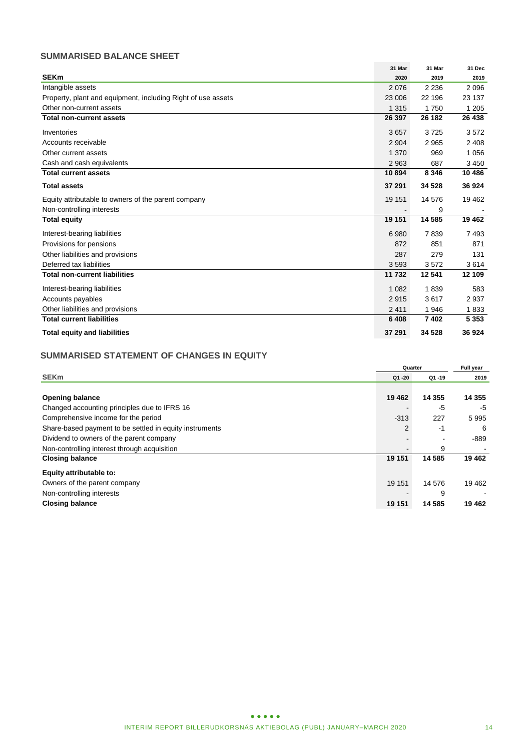### **SUMMARISED BALANCE SHEET**

|                                                              | 31 Mar  | 31 Mar  | 31 Dec  |
|--------------------------------------------------------------|---------|---------|---------|
| <b>SEKm</b>                                                  | 2020    | 2019    | 2019    |
| Intangible assets                                            | 2076    | 2 2 3 6 | 2096    |
| Property, plant and equipment, including Right of use assets | 23 006  | 22 196  | 23 137  |
| Other non-current assets                                     | 1 3 1 5 | 1750    | 1 2 0 5 |
| <b>Total non-current assets</b>                              | 26 397  | 26 182  | 26 438  |
| Inventories                                                  | 3657    | 3725    | 3572    |
| Accounts receivable                                          | 2 9 0 4 | 2965    | 2 4 0 8 |
| Other current assets                                         | 1 3 7 0 | 969     | 1 0 5 6 |
| Cash and cash equivalents                                    | 2 9 6 3 | 687     | 3 4 5 0 |
| <b>Total current assets</b>                                  | 10894   | 8 3 4 6 | 10 486  |
| <b>Total assets</b>                                          | 37 291  | 34 5 28 | 36 924  |
| Equity attributable to owners of the parent company          | 19 151  | 14 576  | 19 4 62 |
| Non-controlling interests                                    |         | 9       |         |
| <b>Total equity</b>                                          | 19 151  | 14 585  | 19 4 62 |
| Interest-bearing liabilities                                 | 6980    | 7839    | 7493    |
| Provisions for pensions                                      | 872     | 851     | 871     |
| Other liabilities and provisions                             | 287     | 279     | 131     |
| Deferred tax liabilities                                     | 3593    | 3572    | 3614    |
| <b>Total non-current liabilities</b>                         | 11 732  | 12 541  | 12 109  |
| Interest-bearing liabilities                                 | 1 0 8 2 | 1839    | 583     |
| Accounts payables                                            | 2915    | 3617    | 2937    |
| Other liabilities and provisions                             | 2411    | 1946    | 1833    |
| <b>Total current liabilities</b>                             | 6 4 0 8 | 7402    | 5 3 5 3 |
| <b>Total equity and liabilities</b>                          | 37 291  | 34 5 28 | 36 924  |

### **SUMMARISED STATEMENT OF CHANGES IN EQUITY**

|                                                         | Quarter |           | Full year |
|---------------------------------------------------------|---------|-----------|-----------|
| <b>SEKm</b>                                             | Q1 -20  | $Q1 - 19$ | 2019      |
|                                                         |         |           |           |
| <b>Opening balance</b>                                  | 19 4 62 | 14 3 5 5  | 14 355    |
| Changed accounting principles due to IFRS 16            |         | -5        | -5        |
| Comprehensive income for the period                     | $-313$  | 227       | 5995      |
| Share-based payment to be settled in equity instruments | 2       | -1        | 6         |
| Dividend to owners of the parent company                |         |           | -889      |
| Non-controlling interest through acquisition            |         | 9         |           |
| <b>Closing balance</b>                                  | 19 151  | 14 585    | 19 4 62   |
| Equity attributable to:                                 |         |           |           |
| Owners of the parent company                            | 19 151  | 14 576    | 19 4 62   |
| Non-controlling interests                               |         | 9         |           |
| <b>Closing balance</b>                                  | 19 151  | 14 5 8 5  | 19 4 62   |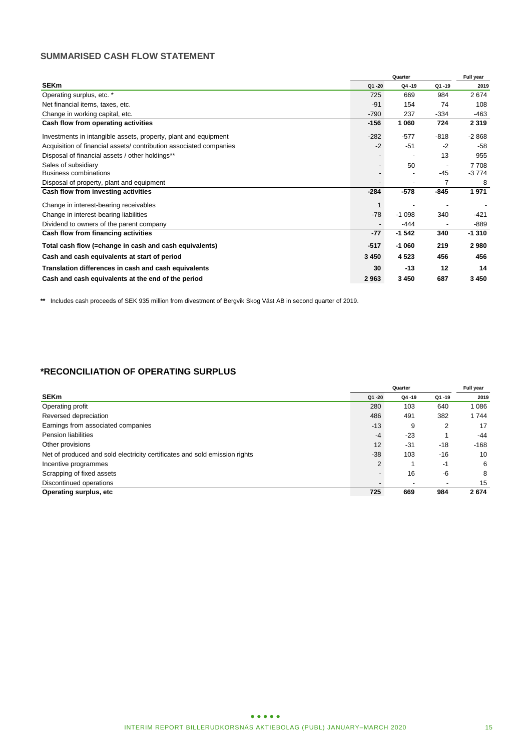### **SUMMARISED CASH FLOW STATEMENT**

|                                                                   |           | Full year      |                          |         |
|-------------------------------------------------------------------|-----------|----------------|--------------------------|---------|
| <b>SEKm</b>                                                       | $Q1 - 20$ | Q4-19          | $Q1 - 19$                | 2019    |
| Operating surplus, etc. *                                         | 725       | 669            | 984                      | 2674    |
| Net financial items, taxes, etc.                                  | $-91$     | 154            | 74                       | 108     |
| Change in working capital, etc.                                   | $-790$    | 237            | $-334$                   | $-463$  |
| Cash flow from operating activities                               | $-156$    | 1 0 6 0        | 724                      | 2 3 1 9 |
| Investments in intangible assets, property, plant and equipment   | $-282$    | $-577$         | $-818$                   | $-2868$ |
| Acquisition of financial assets/contribution associated companies | $-2$      | $-51$          | $-2$                     | $-58$   |
| Disposal of financial assets / other holdings**                   |           |                | 13                       | 955     |
| Sales of subsidiary                                               |           | 50             | $\overline{\phantom{a}}$ | 7708    |
| <b>Business combinations</b>                                      |           |                | $-45$                    | $-3774$ |
| Disposal of property, plant and equipment                         |           | $\blacksquare$ | 7                        | 8       |
| Cash flow from investing activities                               | $-284$    | $-578$         | $-845$                   | 1971    |
| Change in interest-bearing receivables                            |           |                |                          |         |
| Change in interest-bearing liabilities                            | $-78$     | $-1098$        | 340                      | $-421$  |
| Dividend to owners of the parent company                          |           | $-444$         |                          | $-889$  |
| Cash flow from financing activities                               | -77       | $-1542$        | 340                      | $-1310$ |
| Total cash flow (=change in cash and cash equivalents)            | $-517$    | $-1060$        | 219                      | 2980    |
| Cash and cash equivalents at start of period                      | 3 4 5 0   | 4 5 2 3        | 456                      | 456     |
| Translation differences in cash and cash equivalents              | 30        | $-13$          | 12                       | 14      |
| Cash and cash equivalents at the end of the period                | 2963      | 3 4 5 0        | 687                      | 3450    |

**\*\*** Includes cash proceeds of SEK 935 million from divestment of Bergvik Skog Väst AB in second quarter of 2019.

### **\*RECONCILIATION OF OPERATING SURPLUS**

|                                                                            |                | Quarter   |           | Full year |
|----------------------------------------------------------------------------|----------------|-----------|-----------|-----------|
| <b>SEKm</b>                                                                | Q1 -20         | $Q4 - 19$ | $Q1 - 19$ | 2019      |
| Operating profit                                                           | 280            | 103       | 640       | 1 0 8 6   |
| Reversed depreciation                                                      | 486            | 491       | 382       | 1 744     |
| Earnings from associated companies                                         | $-13$          | 9         | 2         | 17        |
| Pension liabilities                                                        | $-4$           | $-23$     |           | $-44$     |
| Other provisions                                                           | 12             | $-31$     | -18       | $-168$    |
| Net of produced and sold electricity certificates and sold emission rights | $-38$          | 103       | $-16$     | 10        |
| Incentive programmes                                                       | $\overline{2}$ |           | -1        | 6         |
| Scrapping of fixed assets                                                  |                | 16        | -6        | 8         |
| Discontinued operations                                                    |                |           |           | 15        |
| Operating surplus, etc                                                     | 725            | 669       | 984       | 2674      |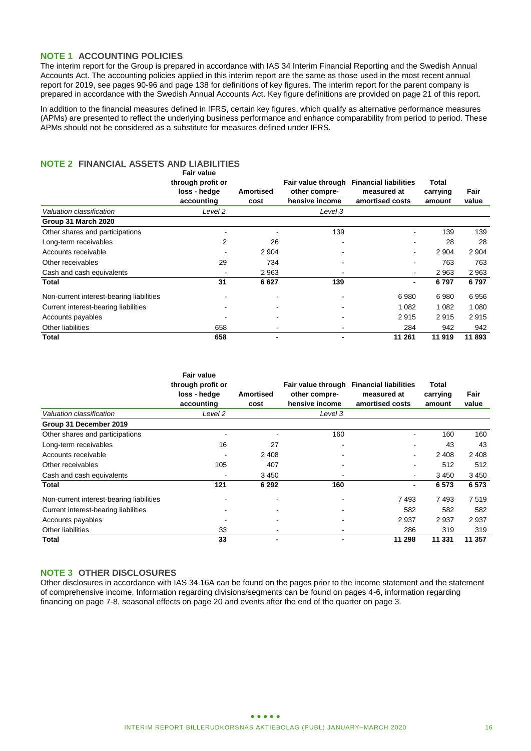### **NOTE 1 ACCOUNTING POLICIES**

The interim report for the Group is prepared in accordance with IAS 34 Interim Financial Reporting and the Swedish Annual Accounts Act. The accounting policies applied in this interim report are the same as those used in the most recent annual report for 2019, see pages 90-96 and page 138 for definitions of key figures. The interim report for the parent company is prepared in accordance with the Swedish Annual Accounts Act. Key figure definitions are provided on page 21 of this report.

In addition to the financial measures defined in IFRS, certain key figures, which qualify as alternative performance measures (APMs) are presented to reflect the underlying business performance and enhance comparability from period to period. These APMs should not be considered as a substitute for measures defined under IFRS.

#### **NOTE 2 FINANCIAL ASSETS AND LIABILITIES Fair value**

|                                          | rall value<br>through profit or<br>loss - hedge<br>accounting | Amortised<br>cost        | Fair value through<br>other compre-<br>hensive income | <b>Financial liabilities</b><br>measured at<br>amortised costs | Total<br>carrying<br>amount | Fair<br>value |
|------------------------------------------|---------------------------------------------------------------|--------------------------|-------------------------------------------------------|----------------------------------------------------------------|-----------------------------|---------------|
| Valuation classification                 | Level 2                                                       |                          | Level 3                                               |                                                                |                             |               |
| Group 31 March 2020                      |                                                               |                          |                                                       |                                                                |                             |               |
| Other shares and participations          |                                                               |                          | 139                                                   |                                                                | 139                         | 139           |
| Long-term receivables                    | 2                                                             | 26                       | $\overline{\phantom{a}}$                              |                                                                | 28                          | 28            |
| Accounts receivable                      |                                                               | 2 9 0 4                  |                                                       |                                                                | 2 9 0 4                     | 2 9 0 4       |
| Other receivables                        | 29                                                            | 734                      |                                                       |                                                                | 763                         | 763           |
| Cash and cash equivalents                |                                                               | 2 9 6 3                  |                                                       | $\blacksquare$                                                 | 2963                        | 2 9 6 3       |
| Total                                    | 31                                                            | 6627                     | 139                                                   | $\blacksquare$                                                 | 6797                        | 6797          |
| Non-current interest-bearing liabilities |                                                               |                          |                                                       | 6980                                                           | 6980                        | 6956          |
| Current interest-bearing liabilities     |                                                               |                          |                                                       | 1 0 8 2                                                        | 1 0 8 2                     | 1 0 8 0       |
| Accounts payables                        |                                                               |                          |                                                       | 2915                                                           | 2915                        | 2915          |
| Other liabilities                        | 658                                                           |                          |                                                       | 284                                                            | 942                         | 942           |
| Total                                    | 658                                                           | $\overline{\phantom{0}}$ |                                                       | 11 261                                                         | 11 919                      | 11 893        |

|                                          | <b>Fair value</b><br>through profit or<br>loss - hedge<br>accounting | <b>Amortised</b><br>cost | Fair value through<br>other compre-<br>hensive income | <b>Financial liabilities</b><br>measured at<br>amortised costs | Total<br>carrying<br>amount | Fair<br>value |
|------------------------------------------|----------------------------------------------------------------------|--------------------------|-------------------------------------------------------|----------------------------------------------------------------|-----------------------------|---------------|
| Valuation classification                 | Level 2                                                              |                          | Level 3                                               |                                                                |                             |               |
| Group 31 December 2019                   |                                                                      |                          |                                                       |                                                                |                             |               |
| Other shares and participations          |                                                                      |                          | 160                                                   |                                                                | 160                         | 160           |
| Long-term receivables                    | 16                                                                   | 27                       |                                                       |                                                                | 43                          | 43            |
| Accounts receivable                      |                                                                      | 2 4 0 8                  |                                                       | $\blacksquare$                                                 | 2 4 0 8                     | 2 4 0 8       |
| Other receivables                        | 105                                                                  | 407                      | $\blacksquare$                                        |                                                                | 512                         | 512           |
| Cash and cash equivalents                |                                                                      | 3 4 5 0                  |                                                       | $\blacksquare$                                                 | 3 4 5 0                     | 3 4 5 0       |
| Total                                    | 121                                                                  | 6 2 9 2                  | 160                                                   | $\blacksquare$                                                 | 6573                        | 6573          |
| Non-current interest-bearing liabilities |                                                                      |                          |                                                       | 7493                                                           | 7493                        | 7519          |
| Current interest-bearing liabilities     |                                                                      |                          |                                                       | 582                                                            | 582                         | 582           |
| Accounts payables                        |                                                                      |                          |                                                       | 2937                                                           | 2937                        | 2937          |
| Other liabilities                        | 33                                                                   |                          |                                                       | 286                                                            | 319                         | 319           |
| Total                                    | 33                                                                   | -                        |                                                       | 11 298                                                         | 11 331                      | 11 357        |

### **NOTE 3 OTHER DISCLOSURES**

Other disclosures in accordance with IAS 34.16A can be found on the pages prior to the income statement and the statement of comprehensive income. Information regarding divisions/segments can be found on pages 4-6, information regarding financing on page 7-8, seasonal effects on page 20 and events after the end of the quarter on page 3.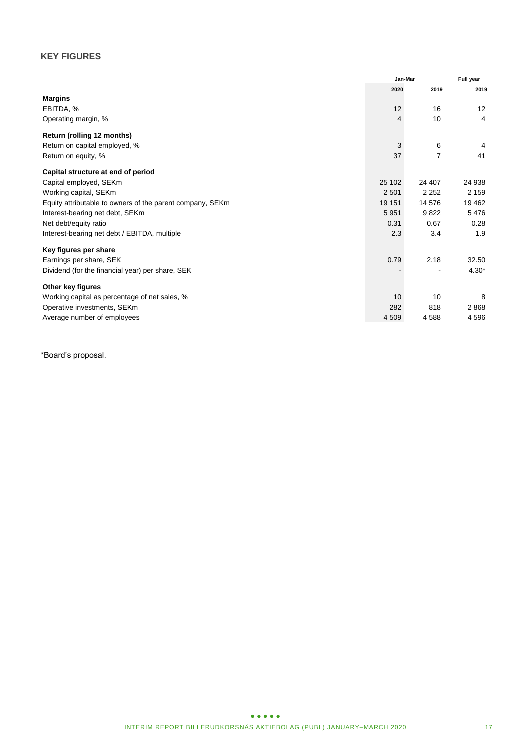### **KEY FIGURES**

|                                                           | Jan-Mar |         | Full year |  |
|-----------------------------------------------------------|---------|---------|-----------|--|
|                                                           | 2020    | 2019    | 2019      |  |
| <b>Margins</b>                                            |         |         |           |  |
| EBITDA, %                                                 | 12      | 16      | 12        |  |
| Operating margin, %                                       | 4       | 10      | 4         |  |
| Return (rolling 12 months)                                |         |         |           |  |
| Return on capital employed, %                             | 3       | 6       | 4         |  |
| Return on equity, %                                       | 37      | 7       | 41        |  |
| Capital structure at end of period                        |         |         |           |  |
| Capital employed, SEKm                                    | 25 102  | 24 407  | 24 938    |  |
| Working capital, SEKm                                     | 2 5 0 1 | 2 2 5 2 | 2 1 5 9   |  |
| Equity attributable to owners of the parent company, SEKm | 19 151  | 14 576  | 19 4 62   |  |
| Interest-bearing net debt, SEKm                           | 5951    | 9822    | 5476      |  |
| Net debt/equity ratio                                     | 0.31    | 0.67    | 0.28      |  |
| Interest-bearing net debt / EBITDA, multiple              | 2.3     | 3.4     | 1.9       |  |
| Key figures per share                                     |         |         |           |  |
| Earnings per share, SEK                                   | 0.79    | 2.18    | 32.50     |  |
| Dividend (for the financial year) per share, SEK          |         |         | $4.30*$   |  |
| Other key figures                                         |         |         |           |  |
| Working capital as percentage of net sales, %             | 10      | 10      | 8         |  |
| Operative investments, SEKm                               | 282     | 818     | 2868      |  |
| Average number of employees                               | 4 5 0 9 | 4588    | 4 5 9 6   |  |

\*Board's proposal.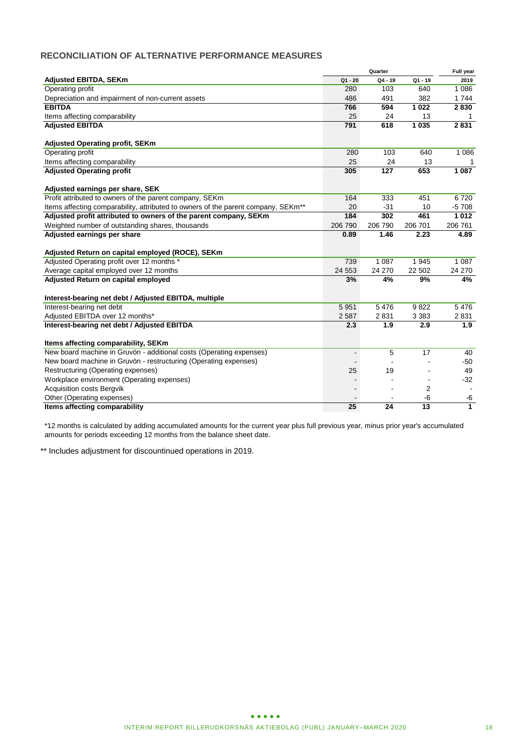### **RECONCILIATION OF ALTERNATIVE PERFORMANCE MEASURES**

|                                                                                               |                          | Quarter |           | Full year                |
|-----------------------------------------------------------------------------------------------|--------------------------|---------|-----------|--------------------------|
| <b>Adjusted EBITDA, SEKm</b>                                                                  | $Q1 - 20$                | Q4 - 19 | $Q1 - 19$ | 2019                     |
| Operating profit                                                                              | 280                      | 103     | 640       | 1 0 8 6                  |
| Depreciation and impairment of non-current assets                                             | 486                      | 491     | 382       | 1 7 4 4                  |
| <b>EBITDA</b>                                                                                 | 766                      | 594     | 1 0 2 2   | 2830                     |
| Items affecting comparability                                                                 | 25                       | 24      | 13        | 1                        |
| <b>Adjusted EBITDA</b>                                                                        | 791                      | 618     | 1 0 3 5   | 2831                     |
| <b>Adjusted Operating profit, SEKm</b>                                                        |                          |         |           |                          |
| Operating profit                                                                              | 280                      | 103     | 640       | 1 0 8 6                  |
| Items affecting comparability                                                                 | 25                       | 24      | 13        |                          |
| <b>Adjusted Operating profit</b>                                                              | 305                      | 127     | 653       | 1 0 8 7                  |
| Adjusted earnings per share, SEK                                                              |                          |         |           |                          |
| Profit attributed to owners of the parent company, SEKm                                       | 164                      | 333     | 451       | 6720                     |
| Items affecting comparability, attributed to owners of the parent company, SEKm <sup>**</sup> | 20                       | $-31$   | 10        | $-5708$                  |
| Adjusted profit attributed to owners of the parent company, SEKm                              | 184                      | 302     | 461       | 1012                     |
| Weighted number of outstanding shares, thousands                                              | 206 790                  | 206 790 | 206 701   | 206 761                  |
| Adjusted earnings per share                                                                   | 0.89                     | 1.46    | 2.23      | 4.89                     |
| Adjusted Return on capital employed (ROCE), SEKm                                              |                          |         |           |                          |
| Adjusted Operating profit over 12 months *                                                    | 739                      | 1 0 8 7 | 1945      | 1 0 8 7                  |
| Average capital employed over 12 months                                                       | 24 5 53                  | 24 270  | 22 502    | 24 270                   |
| Adjusted Return on capital employed                                                           | 3%                       | 4%      | 9%        | 4%                       |
| Interest-bearing net debt / Adjusted EBITDA, multiple                                         |                          |         |           |                          |
| Interest-bearing net debt                                                                     | 5 9 5 1                  | 5476    | 9822      | 5476                     |
| Adjusted EBITDA over 12 months*                                                               | 2 5 8 7                  | 2831    | 3 3 8 3   | 2831                     |
| Interest-bearing net debt / Adjusted EBITDA                                                   | 2.3                      | 1.9     | 2.9       | 1.9                      |
| Items affecting comparability, SEKm                                                           |                          |         |           |                          |
| New board machine in Gruvön - additional costs (Operating expenses)                           | $\overline{\phantom{a}}$ | 5       | 17        | 40                       |
| New board machine in Gruvön - restructuring (Operating expenses)                              |                          |         |           | $-50$                    |
| Restructuring (Operating expenses)                                                            | 25                       | 19      |           | 49                       |
| Workplace environment (Operating expenses)                                                    |                          |         |           | $-32$                    |
| <b>Acquisition costs Bergvik</b>                                                              |                          |         | 2         | $\overline{\phantom{a}}$ |
| Other (Operating expenses)                                                                    |                          |         | $-6$      | -6                       |
| Items affecting comparability                                                                 | 25                       | 24      | 13        | $\overline{1}$           |

\*12 months is calculated by adding accumulated amounts for the current year plus full previous year, minus prior year's accumulated amounts for periods exceeding 12 months from the balance sheet date.

\*\* Includes adjustment for discountinued operations in 2019.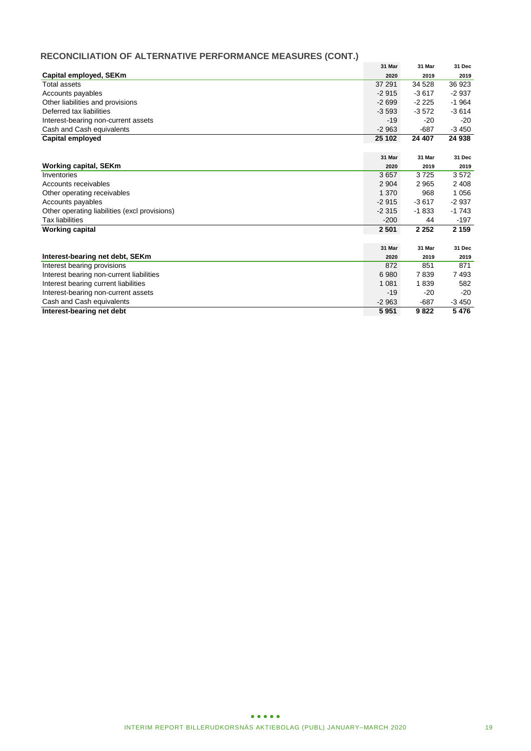### **RECONCILIATION OF ALTERNATIVE PERFORMANCE MEASURES (CONT.)**

|                                               | 31 Mar  | 31 Mar  | 31 Dec  |
|-----------------------------------------------|---------|---------|---------|
| Capital employed, SEKm                        | 2020    | 2019    | 2019    |
| <b>Total assets</b>                           | 37 291  | 34 5 28 | 36 923  |
| Accounts payables                             | $-2915$ | $-3617$ | $-2937$ |
| Other liabilities and provisions              | $-2699$ | $-2225$ | $-1964$ |
| Deferred tax liabilities                      | $-3593$ | $-3572$ | $-3614$ |
| Interest-bearing non-current assets           | $-19$   | $-20$   | $-20$   |
| Cash and Cash equivalents                     | $-2963$ | $-687$  | $-3450$ |
| Capital employed                              | 25 102  | 24 407  | 24 938  |
|                                               |         |         |         |
|                                               | 31 Mar  | 31 Mar  | 31 Dec  |
| <b>Working capital, SEKm</b>                  | 2020    | 2019    | 2019    |
| Inventories                                   | 3657    | 3725    | 3572    |
| Accounts receivables                          | 2 9 0 4 | 2965    | 2 4 0 8 |
| Other operating receivables                   | 1 3 7 0 | 968     | 1 0 5 6 |
| Accounts payables                             | $-2915$ | $-3617$ | $-2937$ |
| Other operating liabilities (excl provisions) | $-2315$ | $-1833$ | $-1743$ |
| <b>Tax liabilities</b>                        | $-200$  | 44      | $-197$  |
| <b>Working capital</b>                        | 2 501   | 2 2 5 2 | 2 1 5 9 |
|                                               |         |         |         |
|                                               | 31 Mar  | 31 Mar  | 31 Dec  |
| Interest-bearing net debt, SEKm               | 2020    | 2019    | 2019    |
| <b>Interest bearing provisions</b>            | 872     | 851     | 871     |
| Interest bearing non-current liabilities      | 6980    | 7839    | 7493    |
| Interest bearing current liabilities          | 1 0 8 1 | 1839    | 582     |
| Interest-bearing non-current assets           | $-19$   | $-20$   | $-20$   |
| Cash and Cash equivalents                     | $-2963$ | $-687$  | $-3450$ |
| Interest-bearing net debt                     | 5 9 5 1 | 9822    | 5476    |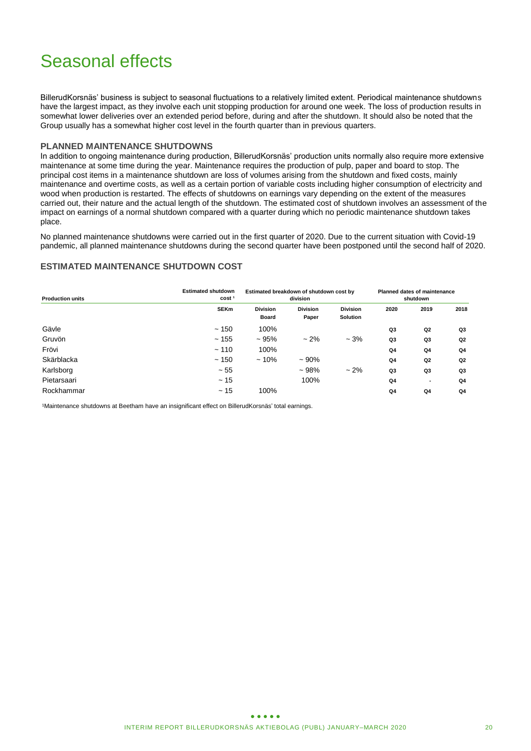### Seasonal effects

BillerudKorsnäs' business is subject to seasonal fluctuations to a relatively limited extent. Periodical maintenance shutdowns have the largest impact, as they involve each unit stopping production for around one week. The loss of production results in somewhat lower deliveries over an extended period before, during and after the shutdown. It should also be noted that the Group usually has a somewhat higher cost level in the fourth quarter than in previous quarters.

### **PLANNED MAINTENANCE SHUTDOWNS**

In addition to ongoing maintenance during production, BillerudKorsnäs' production units normally also require more extensive maintenance at some time during the year. Maintenance requires the production of pulp, paper and board to stop. The principal cost items in a maintenance shutdown are loss of volumes arising from the shutdown and fixed costs, mainly maintenance and overtime costs, as well as a certain portion of variable costs including higher consumption of electricity and wood when production is restarted. The effects of shutdowns on earnings vary depending on the extent of the measures carried out, their nature and the actual length of the shutdown. The estimated cost of shutdown involves an assessment of the impact on earnings of a normal shutdown compared with a quarter during which no periodic maintenance shutdown takes place.

No planned maintenance shutdowns were carried out in the first quarter of 2020. Due to the current situation with Covid-19 pandemic, all planned maintenance shutdowns during the second quarter have been postponed until the second half of 2020.

### **ESTIMATED MAINTENANCE SHUTDOWN COST**

| <b>Production units</b> | <b>Estimated shutdown</b><br>cost <sup>1</sup> | Estimated breakdown of shutdown cost by | <b>Planned dates of maintenance</b><br>shutdown |                                    |                |                |                |
|-------------------------|------------------------------------------------|-----------------------------------------|-------------------------------------------------|------------------------------------|----------------|----------------|----------------|
|                         | <b>SEKm</b>                                    | <b>Division</b><br><b>Board</b>         | <b>Division</b><br>Paper                        | <b>Division</b><br><b>Solution</b> | 2020           | 2019           | 2018           |
| Gävle                   | ~150                                           | 100%                                    |                                                 |                                    | Q3             | Q2             | Q3             |
| Gruvön                  | ~155                                           | ~1.95%                                  | $-2%$                                           | $-3%$                              | Q <sub>3</sub> | Q3             | Q <sub>2</sub> |
| Frövi                   | ~110                                           | 100%                                    |                                                 |                                    | Q4             | Q4             | Q4             |
| Skärblacka              | ~150                                           | $~10\%$                                 | $~100\%$                                        |                                    | Q <sub>4</sub> | Q <sub>2</sub> | Q <sub>2</sub> |
| Karlsborg               | $~1 - 55$                                      |                                         | $~108\%$                                        | $-2%$                              | Q <sub>3</sub> | Q3             | Q3             |
| Pietarsaari             | ~15                                            |                                         | 100%                                            |                                    | Q4             | ۰              | Q4             |
| Rockhammar              | ~15                                            | 100%                                    |                                                 |                                    | Q <sub>4</sub> | Q4             | Q <sub>4</sub> |

1Maintenance shutdowns at Beetham have an insignificant effect on BillerudKorsnäs' total earnings.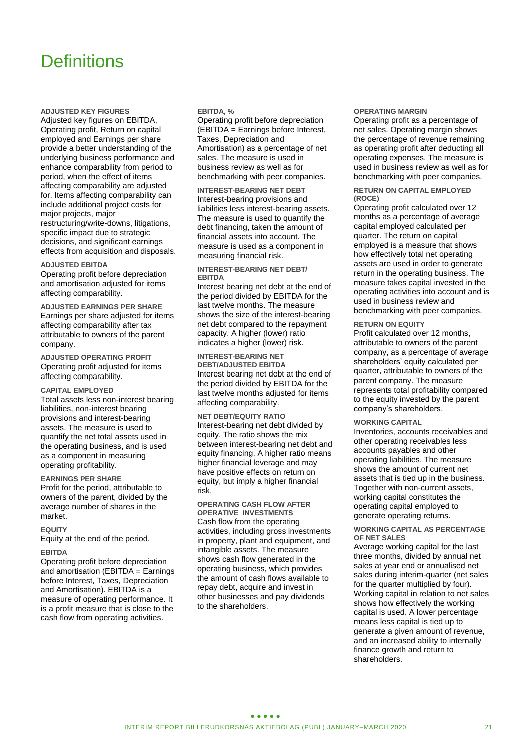### **Definitions**

**ADJUSTED KEY FIGURES**

Adjusted key figures on EBITDA, Operating profit, Return on capital employed and Earnings per share provide a better understanding of the underlying business performance and enhance comparability from period to period, when the effect of items affecting comparability are adjusted for. Items affecting comparability can include additional project costs for major projects, major restructuring/write-downs, litigations, specific impact due to strategic decisions, and significant earnings effects from acquisition and disposals.

#### **ADJUSTED EBITDA**

Operating profit before depreciation and amortisation adjusted for items affecting comparability.

**ADJUSTED EARNINGS PER SHARE** Earnings per share adjusted for items affecting comparability after tax attributable to owners of the parent company.

**ADJUSTED OPERATING PROFIT** Operating profit adjusted for items affecting comparability.

#### **CAPITAL EMPLOYED**

Total assets less non-interest bearing liabilities, non-interest bearing provisions and interest-bearing assets. The measure is used to quantify the net total assets used in the operating business, and is used as a component in measuring operating profitability.

#### **EARNINGS PER SHARE**

Profit for the period, attributable to owners of the parent, divided by the average number of shares in the market.

#### **EQUITY**

Equity at the end of the period.

### **EBITDA**

Operating profit before depreciation and amortisation (EBITDA = Earnings before Interest, Taxes, Depreciation and Amortisation). EBITDA is a measure of operating performance. It is a profit measure that is close to the cash flow from operating activities.

#### **EBITDA, %**

Operating profit before depreciation (EBITDA = Earnings before Interest, Taxes, Depreciation and Amortisation) as a percentage of net sales. The measure is used in business review as well as for benchmarking with peer companies.

**INTEREST-BEARING NET DEBT** Interest-bearing provisions and liabilities less interest-bearing assets. The measure is used to quantify the debt financing, taken the amount of financial assets into account. The measure is used as a component in measuring financial risk.

#### **INTEREST-BEARING NET DEBT/ EBITDA**

Interest bearing net debt at the end of the period divided by EBITDA for the last twelve months. The measure shows the size of the interest-bearing net debt compared to the repayment capacity. A higher (lower) ratio indicates a higher (lower) risk.

**INTEREST-BEARING NET DEBT/ADJUSTED EBITDA** Interest bearing net debt at the end of the period divided by EBITDA for the last twelve months adjusted for items affecting comparability.

**NET DEBT/EQUITY RATIO** Interest-bearing net debt divided by equity. The ratio shows the mix between interest-bearing net debt and equity financing. A higher ratio means higher financial leverage and may have positive effects on return on equity, but imply a higher financial risk.

#### **OPERATING CASH FLOW AFTER OPERATIVE INVESTMENTS**

Cash flow from the operating activities, including gross investments in property, plant and equipment, and intangible assets. The measure shows cash flow generated in the operating business, which provides the amount of cash flows available to repay debt, acquire and invest in other businesses and pay dividends to the shareholders.

#### **OPERATING MARGIN**

Operating profit as a percentage of net sales. Operating margin shows the percentage of revenue remaining as operating profit after deducting all operating expenses. The measure is used in business review as well as for benchmarking with peer companies.

#### **RETURN ON CAPITAL EMPLOYED (ROCE)**

Operating profit calculated over 12 months as a percentage of average capital employed calculated per quarter. The return on capital employed is a measure that shows how effectively total net operating assets are used in order to generate return in the operating business. The measure takes capital invested in the operating activities into account and is used in business review and benchmarking with peer companies.

#### **RETURN ON EQUITY**

Profit calculated over 12 months, attributable to owners of the parent company, as a percentage of average shareholders' equity calculated per quarter, attributable to owners of the parent company. The measure represents total profitability compared to the equity invested by the parent company's shareholders.

#### **WORKING CAPITAL**

Inventories, accounts receivables and other operating receivables less accounts payables and other operating liabilities. The measure shows the amount of current net assets that is tied up in the business. Together with non-current assets, working capital constitutes the operating capital employed to generate operating returns.

#### **WORKING CAPITAL AS PERCENTAGE OF NET SALES**

Average working capital for the last three months, divided by annual net sales at year end or annualised net sales during interim-quarter (net sales for the quarter multiplied by four). Working capital in relation to net sales shows how effectively the working capital is used. A lower percentage means less capital is tied up to generate a given amount of revenue, and an increased ability to internally finance growth and return to shareholders.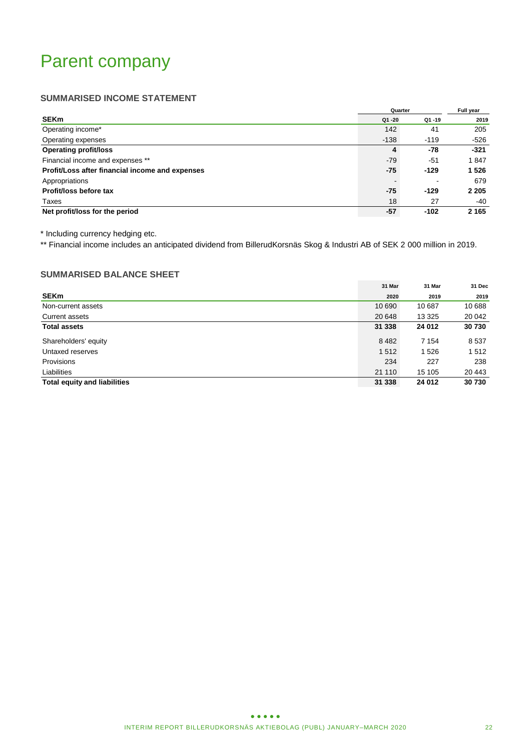### Parent company

### **SUMMARISED INCOME STATEMENT**

|                                                 | Quarter |           | Full year |
|-------------------------------------------------|---------|-----------|-----------|
| <b>SEKm</b>                                     | Q1 -20  | $Q1 - 19$ | 2019      |
| Operating income*                               | 142     | 41        | 205       |
| Operating expenses                              | $-138$  | $-119$    | -526      |
| <b>Operating profit/loss</b>                    | 4       | -78       | $-321$    |
| Financial income and expenses **                | $-79$   | -51       | 1847      |
| Profit/Loss after financial income and expenses | -75     | $-129$    | 1 5 2 6   |
| Appropriations                                  |         |           | 679       |
| Profit/loss before tax                          | -75     | $-129$    | 2 2 0 5   |
| Taxes                                           | 18      | 27        | -40       |
| Net profit/loss for the period                  | $-57$   | $-102$    | 2 1 6 5   |

\* Including currency hedging etc.

\*\* Financial income includes an anticipated dividend from BillerudKorsnäs Skog & Industri AB of SEK 2 000 million in 2019.

### **SUMMARISED BALANCE SHEET**

|                                     | 31 Mar  | 31 Mar  | 31 Dec  |
|-------------------------------------|---------|---------|---------|
| <b>SEKm</b>                         | 2020    | 2019    | 2019    |
| Non-current assets                  | 10 690  | 10 687  | 10 688  |
| Current assets                      | 20 648  | 13 3 25 | 20 042  |
| <b>Total assets</b>                 | 31 338  | 24 012  | 30 730  |
| Shareholders' equity                | 8 4 8 2 | 7 1 5 4 | 8 5 3 7 |
| Untaxed reserves                    | 1512    | 1526    | 1512    |
| Provisions                          | 234     | 227     | 238     |
| Liabilities                         | 21 110  | 15 105  | 20 443  |
| <b>Total equity and liabilities</b> | 31 338  | 24 012  | 30 730  |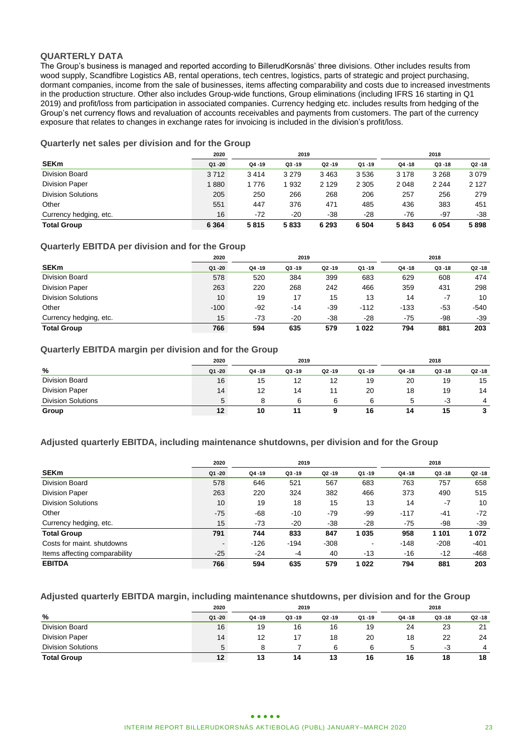### **QUARTERLY DATA**

The Group's business is managed and reported according to BillerudKorsnäs' three divisions. Other includes results from wood supply, Scandfibre Logistics AB, rental operations, tech centres, logistics, parts of strategic and project purchasing, dormant companies, income from the sale of businesses, items affecting comparability and costs due to increased investments in the production structure. Other also includes Group-wide functions, Group eliminations (including IFRS 16 starting in Q1 2019) and profit/loss from participation in associated companies. Currency hedging etc. includes results from hedging of the Group's net currency flows and revaluation of accounts receivables and payments from customers. The part of the currency exposure that relates to changes in exchange rates for invoicing is included in the division's profit/loss.

### **Quarterly net sales per division and for the Group**

|                           | 2020<br>2019 |        |           |         |           |           |           |         |  | 2018 |  |
|---------------------------|--------------|--------|-----------|---------|-----------|-----------|-----------|---------|--|------|--|
| <b>SEKm</b>               | Q1 -20       | Q4 -19 | $Q3 - 19$ | Q2 -19  | $Q1 - 19$ | $Q4 - 18$ | $Q3 - 18$ | Q2 -18  |  |      |  |
| Division Board            | 3712         | 3414   | 3 2 7 9   | 3 4 6 3 | 3536      | 3 1 7 8   | 3 2 6 8   | 3079    |  |      |  |
| <b>Division Paper</b>     | 1880         | 1776   | 932       | 2 1 2 9 | 2 3 0 5   | 2 0 4 8   | 2 2 4 4   | 2 1 2 7 |  |      |  |
| <b>Division Solutions</b> | 205          | 250    | 266       | 268     | 206       | 257       | 256       | 279     |  |      |  |
| Other                     | 551          | 447    | 376       | 471     | 485       | 436       | 383       | 451     |  |      |  |
| Currency hedging, etc.    | 16           | $-72$  | $-20$     | $-38$   | $-28$     | -76       | -97       | $-38$   |  |      |  |
| <b>Total Group</b>        | 6 3 6 4      | 5815   | 5833      | 6 2 9 3 | 6 5 0 4   | 5843      | 6 0 5 4   | 5898    |  |      |  |

### **Quarterly EBITDA per division and for the Group**

|                           | 2020   |       | 2019      |           |        |           | 2018      |        |
|---------------------------|--------|-------|-----------|-----------|--------|-----------|-----------|--------|
| <b>SEKm</b>               | Q1 -20 | Q4-19 | $Q3 - 19$ | $Q2 - 19$ | Q1-19  | $Q4 - 18$ | $Q3 - 18$ | Q2 -18 |
| <b>Division Board</b>     | 578    | 520   | 384       | 399       | 683    | 629       | 608       | 474    |
| <b>Division Paper</b>     | 263    | 220   | 268       | 242       | 466    | 359       | 431       | 298    |
| <b>Division Solutions</b> | 10     | 19    | 17        | 15        | 13     | 14        | $-7$      | 10     |
| Other                     | $-100$ | $-92$ | $-14$     | -39       | $-112$ | $-133$    | -53       | $-540$ |
| Currency hedging, etc.    | 15     | $-73$ | $-20$     | $-38$     | -28    | -75       | -98       | -39    |
| <b>Total Group</b>        | 766    | 594   | 635       | 579       | 1022   | 794       | 881       | 203    |

### **Quarterly EBITDA margin per division and for the Group**

|                           | 2019<br>2020 |           |           |           |       | 2018      |           |                  |  |
|---------------------------|--------------|-----------|-----------|-----------|-------|-----------|-----------|------------------|--|
| %                         | Q1 -20       | $Q4 - 19$ | $Q3 - 19$ | $Q2 - 19$ | Q1-19 | $Q4 - 18$ | $Q3 - 18$ | $Q2 - 18$        |  |
| <b>Division Board</b>     | 16           | 15        | 12        | 12        | 19    | 20        | 19        | 15               |  |
| <b>Division Paper</b>     | 14           | 12        | 14        |           | 20    | 18        | 19        | 14               |  |
| <b>Division Solutions</b> | 5            |           |           |           |       |           | -3        | $\boldsymbol{4}$ |  |
| Group                     | 12           | 10        |           |           | 16    | 14        | 15        | 3                |  |

### **Adjusted quarterly EBITDA, including maintenance shutdowns, per division and for the Group**

|                               | 2020           | 2019      |           |           |           |           | 2018      |           |  |
|-------------------------------|----------------|-----------|-----------|-----------|-----------|-----------|-----------|-----------|--|
| <b>SEKm</b>                   | $Q1 - 20$      | $Q4 - 19$ | $Q3 - 19$ | $Q2 - 19$ | $Q1 - 19$ | $Q4 - 18$ | $Q3 - 18$ | $Q2 - 18$ |  |
| Division Board                | 578            | 646       | 521       | 567       | 683       | 763       | 757       | 658       |  |
| <b>Division Paper</b>         | 263            | 220       | 324       | 382       | 466       | 373       | 490       | 515       |  |
| <b>Division Solutions</b>     | 10             | 19        | 18        | 15        | 13        | 14        | $-7$      | 10        |  |
| Other                         | $-75$          | $-68$     | $-10$     | -79       | -99       | $-117$    | -41       | $-72$     |  |
| Currency hedging, etc.        | 15             | $-73$     | $-20$     | $-38$     | $-28$     | $-75$     | -98       | $-39$     |  |
| <b>Total Group</b>            | 791            | 744       | 833       | 847       | 1 0 3 5   | 958       | 1 1 0 1   | 1072      |  |
| Costs for maint, shutdowns    | $\blacksquare$ | $-126$    | $-194$    | $-308$    | -         | $-148$    | $-208$    | $-401$    |  |
| Items affecting comparability | $-25$          | $-24$     | $-4$      | 40        | $-13$     | -16       | $-12$     | $-468$    |  |
| <b>EBITDA</b>                 | 766            | 594       | 635       | 579       | 1 0 2 2   | 794       | 881       | 203       |  |

### **Adjusted quarterly EBITDA margin, including maintenance shutdowns, per division and for the Group**

|                           | 2020   | 2019      |           |           |       |           | 2018      |                |  |
|---------------------------|--------|-----------|-----------|-----------|-------|-----------|-----------|----------------|--|
| %                         | Q1 -20 | $Q4 - 19$ | $Q3 - 19$ | $Q2 - 19$ | Q1-19 | $Q4 - 18$ | $Q3 - 18$ | Q2 -18         |  |
| Division Board            | 16     | 19        | 16        | 16        | 19    | 24        | 23        | 21             |  |
| <b>Division Paper</b>     | 14     |           |           | 18        | 20    | 18        | 22        | 24             |  |
| <b>Division Solutions</b> | 5      |           |           |           | Բ     |           | -3        | $\overline{4}$ |  |
| <b>Total Group</b>        | 12     | 13        | 14        | 13        | 16    | 16        | 18        | 18             |  |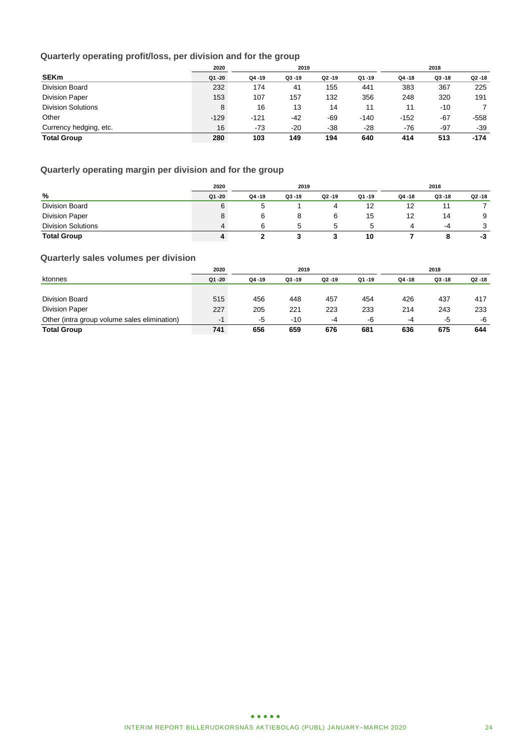### **Quarterly operating profit/loss, per division and for the group**

|                           | 2020<br>2019 |           |           |           |           | 2018      |           |           |  |
|---------------------------|--------------|-----------|-----------|-----------|-----------|-----------|-----------|-----------|--|
| <b>SEKm</b>               | Q1 -20       | $Q4 - 19$ | $Q3 - 19$ | $Q2 - 19$ | $Q1 - 19$ | $Q4 - 18$ | $Q3 - 18$ | $Q2 - 18$ |  |
| Division Board            | 232          | 174       | 41        | 155       | 441       | 383       | 367       | 225       |  |
| <b>Division Paper</b>     | 153          | 107       | 157       | 132       | 356       | 248       | 320       | 191       |  |
| <b>Division Solutions</b> | 8            | 16        | 13        | 14        | 11        | 11        | -10       |           |  |
| Other                     | $-129$       | $-121$    | -42       | -69       | $-140$    | $-152$    | $-67$     | $-558$    |  |
| Currency hedging, etc.    | 16           | $-73$     | $-20$     | $-38$     | $-28$     | -76       | $-97$     | $-39$     |  |
| <b>Total Group</b>        | 280          | 103       | 149       | 194       | 640       | 414       | 513       | -174      |  |

### **Quarterly operating margin per division and for the group**

|                           | 2020      | 2019      |           |           |       | 2018      |           |           |
|---------------------------|-----------|-----------|-----------|-----------|-------|-----------|-----------|-----------|
| %                         | $Q1 - 20$ | $Q4 - 19$ | $Q3 - 19$ | $Q2 - 19$ | Q1-19 | $Q4 - 18$ | $Q3 - 18$ | $Q2 - 18$ |
| Division Board            | 6         |           |           |           | 12    | 12        |           |           |
| <b>Division Paper</b>     | 8         | 6         | 8         |           | 15    | 12        | 14        | 9         |
| <b>Division Solutions</b> | 4         | 6         | h         | 5         |       | 4         | -4        | 3         |
| <b>Total Group</b>        | 4         |           |           |           | 10    |           | 8         | -3        |

### **Quarterly sales volumes per division**

|                                              | 2020<br>2019 |        |           |           |        | 2018   |           |           |
|----------------------------------------------|--------------|--------|-----------|-----------|--------|--------|-----------|-----------|
| ktonnes                                      | $Q1 - 20$    | Q4 -19 | $Q3 - 19$ | $Q2 - 19$ | Q1 -19 | Q4 -18 | $Q3 - 18$ | $Q2 - 18$ |
|                                              |              |        |           |           |        |        |           |           |
| Division Board                               | 515          | 456    | 448       | 457       | 454    | 426    | 437       | 417       |
| <b>Division Paper</b>                        | 227          | 205    | 221       | 223       | 233    | 214    | 243       | 233       |
| Other (intra group volume sales elimination) | $-1$         | -5     | -10       | -4        | -6     | -4     | -5        | -6        |
| <b>Total Group</b>                           | 741          | 656    | 659       | 676       | 681    | 636    | 675       | 644       |